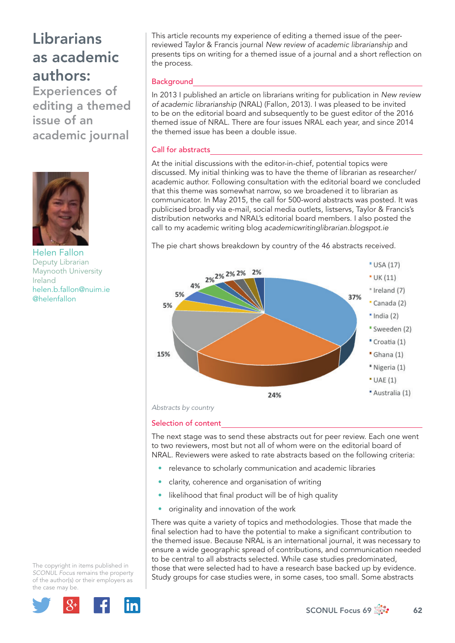Experiences of editing a themed issue of an academic journal



Helen Fallon Deputy Librarian Maynooth University Ireland helen.b.fallon@nuim.ie @helenfallon

This article recounts my experience of editing a themed issue of the peerreviewed Taylor & Francis journal *New review of academic librarianship* and presents tips on writing for a themed issue of a journal and a short reflection on the process.

## **Background**

In 2013 I published an article on librarians writing for publication in *New review of academic librarianship* (NRAL) (Fallon, 2013). I was pleased to be invited to be on the editorial board and subsequently to be guest editor of the 2016 themed issue of NRAL. There are four issues NRAL each year, and since 2014 the themed issue has been a double issue.

## Call for abstracts

At the initial discussions with the editor-in-chief, potential topics were discussed. My initial thinking was to have the theme of librarian as researcher/ academic author. Following consultation with the editorial board we concluded that this theme was somewhat narrow, so we broadened it to librarian as communicator. In May 2015, the call for 500-word abstracts was posted. It was publicised broadly via e-mail, social media outlets, listservs, Taylor & Francis's distribution networks and NRAL's editorial board members. I also posted the call to my academic writing blog *academicwritinglibrarian.blogspot.ie*

The pie chart shows breakdown by country of the 46 abstracts received.



### Selection of content

The next stage was to send these abstracts out for peer review. Each one went to two reviewers, most but not all of whom were on the editorial board of NRAL. Reviewers were asked to rate abstracts based on the following criteria:

- relevance to scholarly communication and academic libraries
- clarity, coherence and organisation of writing
- likelihood that final product will be of high quality
- originality and innovation of the work

There was quite a variety of topics and methodologies. Those that made the final selection had to have the potential to make a significant contribution to the themed issue. Because NRAL is an international journal, it was necessary to ensure a wide geographic spread of contributions, and communication needed to be central to all abstracts selected. While case studies predominated, those that were selected had to have a research base backed up by evidence. Study groups for case studies were, in some cases, too small. Some abstracts

The copyright in items published in *SCONUL Focus* remains the property of the author(s) or their employers as the case may be.



SCONUL Focus 69  $\frac{4}{300}$  62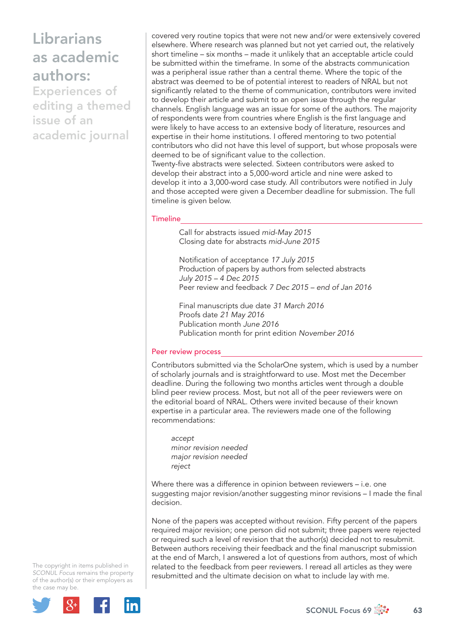Experiences of editing a themed issue of an academic journal

covered very routine topics that were not new and/or were extensively covered elsewhere. Where research was planned but not yet carried out, the relatively short timeline – six months – made it unlikely that an acceptable article could be submitted within the timeframe. In some of the abstracts communication was a peripheral issue rather than a central theme. Where the topic of the abstract was deemed to be of potential interest to readers of NRAL but not significantly related to the theme of communication, contributors were invited to develop their article and submit to an open issue through the regular channels. English language was an issue for some of the authors. The majority of respondents were from countries where English is the first language and were likely to have access to an extensive body of literature, resources and expertise in their home institutions. I offered mentoring to two potential contributors who did not have this level of support, but whose proposals were deemed to be of significant value to the collection.

Twenty-five abstracts were selected. Sixteen contributors were asked to develop their abstract into a 5,000-word article and nine were asked to develop it into a 3,000-word case study. All contributors were notified in July and those accepted were given a December deadline for submission. The full timeline is given below.

### **Timeline**

 Call for abstracts issued *mid-May 2015* Closing date for abstracts *mid-June 2015*

Notification of acceptance 17 July 2015 Production of papers by authors from selected abstracts *July 2015 – 4 Dec 2015* Peer review and feedback *7 Dec 2015 – end of Jan 2016*

 Final manuscripts due date *31 March 2016* Proofs date *21 May 2016* Publication month *June 2016* Publication month for print edition *November 2016*

#### Peer review process

Contributors submitted via the ScholarOne system, which is used by a number of scholarly journals and is straightforward to use. Most met the December deadline. During the following two months articles went through a double blind peer review process. Most, but not all of the peer reviewers were on the editorial board of NRAL. Others were invited because of their known expertise in a particular area. The reviewers made one of the following recommendations:

*accept minor revision needed major revision needed reject*

Where there was a difference in opinion between reviewers – i.e. one suggesting major revision/another suggesting minor revisions – I made the final decision.

None of the papers was accepted without revision. Fifty percent of the papers required major revision; one person did not submit; three papers were rejected or required such a level of revision that the author(s) decided not to resubmit. Between authors receiving their feedback and the final manuscript submission at the end of March, I answered a lot of questions from authors, most of which related to the feedback from peer reviewers. I reread all articles as they were resubmitted and the ultimate decision on what to include lay with me.

The copyright in items published in *SCONUL Focus* remains the property of the author(s) or their employers as the case may be.



SCONUL Focus 69  $\frac{1}{200}$  63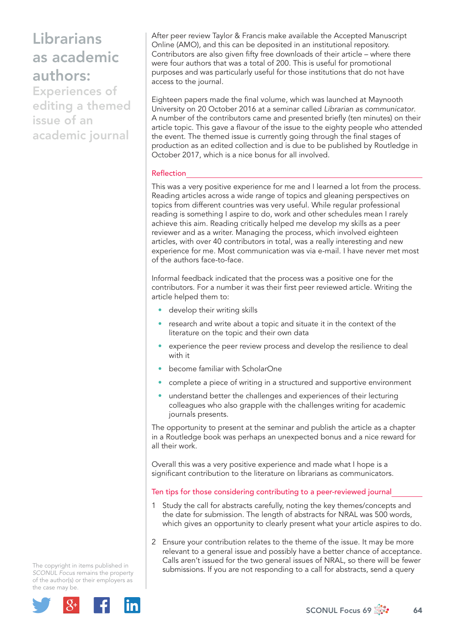Experiences of editing a themed issue of an academic journal

After peer review Taylor & Francis make available the Accepted Manuscript Online (AMO), and this can be deposited in an institutional repository. Contributors are also given fifty free downloads of their article – where there were four authors that was a total of 200. This is useful for promotional purposes and was particularly useful for those institutions that do not have access to the journal.

Eighteen papers made the final volume, which was launched at Maynooth University on 20 October 2016 at a seminar called *Librarian as communicator*. A number of the contributors came and presented briefly (ten minutes) on their article topic. This gave a flavour of the issue to the eighty people who attended the event. The themed issue is currently going through the final stages of production as an edited collection and is due to be published by Routledge in October 2017, which is a nice bonus for all involved.

### Reflection

This was a very positive experience for me and I learned a lot from the process. Reading articles across a wide range of topics and gleaning perspectives on topics from different countries was very useful. While regular professional reading is something I aspire to do, work and other schedules mean I rarely achieve this aim. Reading critically helped me develop my skills as a peer reviewer and as a writer. Managing the process, which involved eighteen articles, with over 40 contributors in total, was a really interesting and new experience for me. Most communication was via e-mail. I have never met most of the authors face-to-face.

Informal feedback indicated that the process was a positive one for the contributors. For a number it was their first peer reviewed article. Writing the article helped them to:

- develop their writing skills
- research and write about a topic and situate it in the context of the literature on the topic and their own data
- experience the peer review process and develop the resilience to deal with it
- become familiar with ScholarOne
- complete a piece of writing in a structured and supportive environment
- understand better the challenges and experiences of their lecturing colleagues who also grapple with the challenges writing for academic journals presents.

The opportunity to present at the seminar and publish the article as a chapter in a Routledge book was perhaps an unexpected bonus and a nice reward for all their work.

Overall this was a very positive experience and made what I hope is a significant contribution to the literature on librarians as communicators.

Ten tips for those considering contributing to a peer-reviewed journal

- 1 Study the call for abstracts carefully, noting the key themes/concepts and the date for submission. The length of abstracts for NRAL was 500 words, which gives an opportunity to clearly present what your article aspires to do.
- 2 Ensure your contribution relates to the theme of the issue. It may be more relevant to a general issue and possibly have a better chance of acceptance. Calls aren't issued for the two general issues of NRAL, so there will be fewer submissions. If you are not responding to a call for abstracts, send a query

The copyright in items published in *SCONUL Focus* remains the property of the author(s) or their employers as the case may be.



SCONUL Focus 69  $\frac{4}{300}$  64